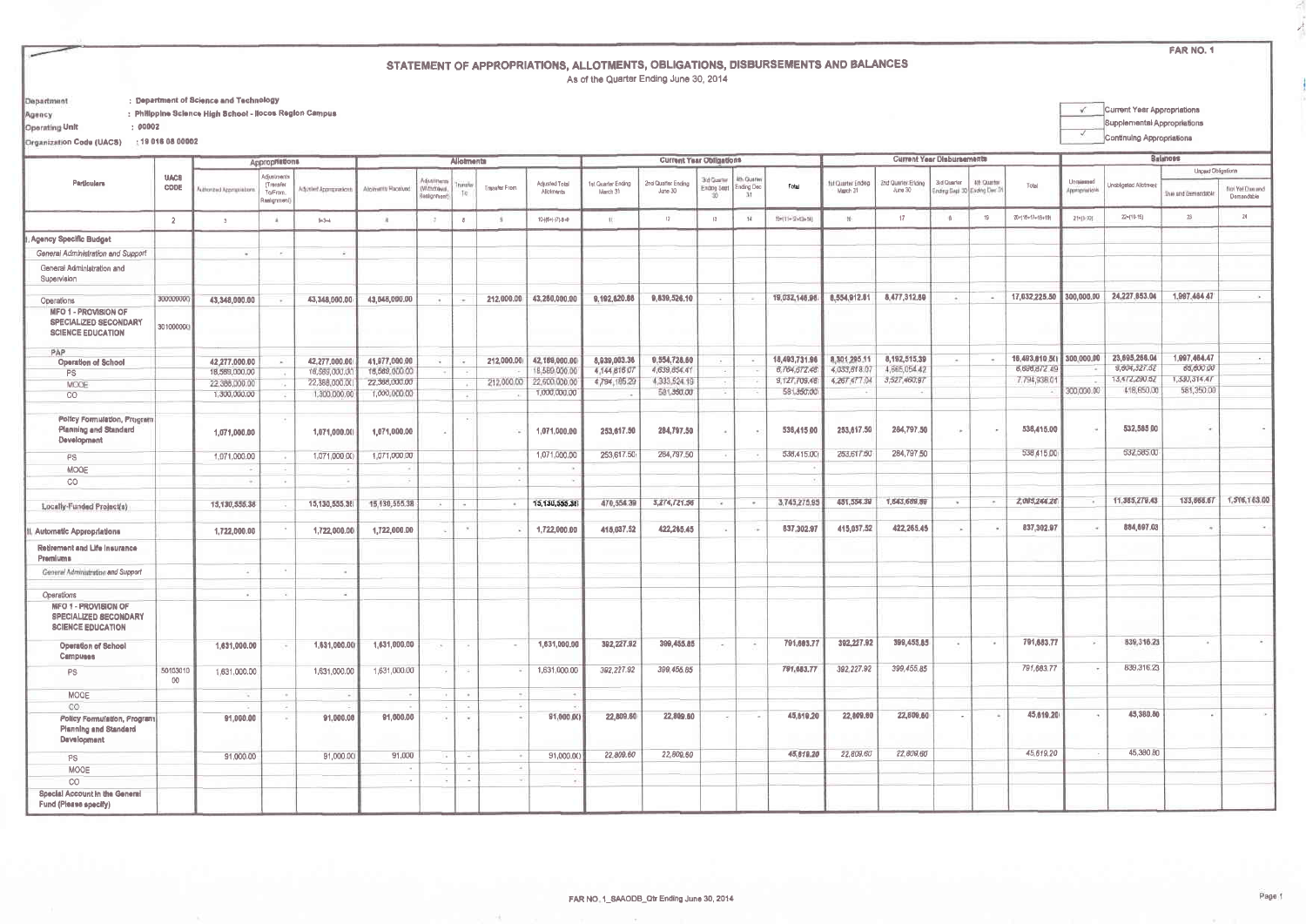FAR NO. 1

 $\mathcal{N}_{\mathcal{A}}$ 

## STATEMENT OF APPROPRIATIONS, ALLOTMENTS, OBLIGATIONS, DISBURSEMENTS AND BALANCES As of the Quarter Ending June 30, 2014

: Department of Science and Technology Department

: Philippine Science High School - Ilocos Region Campus  $: 00002$ 

Operating Unit

Agency

V Current Year Appropriations Supplemental Appropriations Continuing Appropriations

Organization Code (UACS) : 19 016 08 00002

|                                                                                  |                |                                | <b>Appropriations</b>   |                                |                                | Allotmenta                  |               |               |                                | <b>Current Year Obligations</b> |                              | <b>Current Year Disbursements</b> |               |                               |                              |                              |                      | <b>Balances</b>             |                               |                          |                       |                    |                               |
|----------------------------------------------------------------------------------|----------------|--------------------------------|-------------------------|--------------------------------|--------------------------------|-----------------------------|---------------|---------------|--------------------------------|---------------------------------|------------------------------|-----------------------------------|---------------|-------------------------------|------------------------------|------------------------------|----------------------|-----------------------------|-------------------------------|--------------------------|-----------------------|--------------------|-------------------------------|
| Perticulars                                                                      | <b>UACB</b>    |                                | Adjustments<br>Transfer |                                |                                | <b>Adjustiment</b>          |               |               | Adjusted Total                 | 1st Quarter Ending              | 2nd Quarter Ending           | 3rd Connar                        | 4th Quarte    |                               | fst Caurter Ending           | <b>Znd Quarler-Eriding</b>   | 3rd Quarter          | 4th Quarter                 |                               | <b>Unraidated</b>        |                       | Unpaid Obligations |                               |
|                                                                                  | CODE           | uthorized Appropriations       | To/From.<br>laalignmenl | Adjusted Appropriations        | Atolments Received             | (Withdrawal)<br>Realignment | hansis<br>Te  | Transfer From | Allohments                     | March 31                        | June 30                      | Ending Seint   Ending Dec         |               | Total                         | March 31                     | $J\mu$ ne 30                 |                      | Ending Sept 30 Ending Dec 3 | Total                         | Approprietions           | Unabligated Allotment | Due and Demandable | Not Yet Dun art<br>Demandable |
|                                                                                  | $\overline{2}$ | $\mathcal{I}$                  |                         | $5 - 3 + 4$                    | 18                             |                             | $\theta$      |               | 10-((5+(-)7)-8+8               | 11                              | 12                           | $\frac{13}{2}$                    | 34            | 59(11-12-12-14)               | M-                           | 17                           | 18                   | 19                          | $20 - (16 + 1) + 18 + 19$     | $21 - (10 - 10)$         | $22=[10-15]$          | 23                 | 24                            |
| <b>Agency Specific Budget</b>                                                    |                |                                |                         |                                |                                |                             |               |               |                                |                                 |                              |                                   |               |                               |                              |                              |                      |                             |                               |                          |                       |                    |                               |
| General Administration and Support                                               |                | <b>ALC</b>                     | $\sim$                  | 12                             |                                |                             |               |               |                                |                                 |                              |                                   |               |                               |                              |                              |                      |                             |                               |                          |                       |                    |                               |
| General Administration and<br>Supervision                                        |                |                                |                         |                                |                                |                             |               |               |                                |                                 |                              |                                   |               |                               |                              |                              |                      |                             |                               |                          |                       |                    |                               |
| Operations                                                                       | 300000000      | 43,348,000.00                  |                         | 43,348,000.00                  | 43,048,000.00                  | $\ddot{\phantom{1}}$        |               | 212,000.00    | 43,260,000.00                  | 9,192,620.66                    | 9,839,526.10                 | $\,$                              | - 8           | 19,032,146.96                 | 8,554,912.61                 | 8,477,312.89                 | $\rightarrow$        | $\sim$                      | 17,032,225.50                 | 300,000.00               | 24,227,853.04         | 1,997,464.47       | ×                             |
| <b>MFO 1 - PROVISION OF</b><br>SPECIALIZED SECONDARY<br><b>SCIENCE EDUCATION</b> | 301000000      |                                |                         |                                |                                |                             |               |               |                                |                                 |                              |                                   |               |                               |                              |                              |                      |                             |                               |                          |                       |                    |                               |
| PAP                                                                              |                |                                |                         |                                |                                |                             |               |               |                                |                                 |                              |                                   |               |                               |                              |                              |                      |                             |                               |                          | 23,695,268.04         | 1,097,464.47       |                               |
| <b>Operation of School</b>                                                       |                | 42,277,000.00                  | <b>Sec</b>              | 42,277.000.00<br>16,589,000.00 | 41,977,000.00<br>16,589,000.00 | <b>CHI</b>                  |               | 212,000.00    | 42,189,000.00<br>18,589,000.00 | 8.939,003.36<br>4.144.816.07    | 9,554,728.60<br>4,639,854.41 | $\alpha$                          | $\frac{1}{2}$ | 18,493,731.96<br>8,764,672.48 | 8,301,295.11<br>4,033,818.07 | 8,192,515.39<br>4,665,054.42 | $\sim$               | $\sim$                      | 16,493,610.50<br>8,698,872.49 | 300,000,00               | 9,804,327.52          | 85,800.00          |                               |
| <b>PS</b><br>MOOE                                                                |                | 18,589,000.00<br>22.386,000.00 |                         | 22,388,000.00                  | 22,388,000.00                  |                             |               | 212,000.00    | 22,600,000.00                  | 4,794,185.29                    | 4,333,524.19                 |                                   |               | 9,127,709.48                  | 4,267,477.04                 | 3,527,460.97                 |                      |                             | 7,794,938.0                   |                          | 13,472,290.52         | 1,330,314.47       |                               |
| CO                                                                               |                | 1,300,000.00                   |                         | 1,300,000,00                   | 1,000,000.00                   |                             |               |               | 1,000,000.00                   |                                 | 581,350,00                   | - 1                               |               | 581,350.00                    |                              |                              |                      |                             |                               | 300,000.00               | 418,650.00            | 581,350.00         |                               |
| Policy Formulation, Program<br><b>Planning and Standard</b><br>Development       |                | 1,071,000.00                   |                         | 1,071,000.00                   | 1,071,000,00                   |                             |               | - 6           | 1,071,000.00                   | 253,617.50                      | 284,797.50                   |                                   | $\sim$        | 536,415.00                    | 253,617.50                   | 284,797.50                   | ÷                    | <b>CON</b>                  | 536,415.00                    |                          | 532,585.00            |                    |                               |
|                                                                                  |                |                                |                         |                                |                                |                             |               |               |                                |                                 | 284,797.50                   |                                   |               | 538,415.00                    | 253,617.50                   | 284,797.50                   |                      |                             | 538,415.00                    |                          | 532,585.00            |                    |                               |
| PS                                                                               |                | 1,071,000.00                   | $\sim$                  | 1,071,000.00                   | 1,071,000.00                   |                             |               |               | 1,071,000.00                   | 253,617.50                      |                              |                                   |               |                               |                              |                              |                      |                             |                               |                          |                       |                    |                               |
| MOOE                                                                             |                | -                              | $\sim$                  |                                |                                |                             |               | $\sim$        |                                |                                 |                              |                                   |               |                               |                              |                              |                      |                             |                               |                          |                       |                    |                               |
| CO                                                                               |                |                                |                         |                                |                                |                             |               |               |                                |                                 |                              |                                   |               |                               |                              |                              |                      |                             |                               |                          |                       |                    |                               |
| Locally-Funded Project(s)                                                        |                | 15,130,555.38                  |                         | 15,130,555.36                  | 15, 130, 555, 38               |                             | $\sim$        | $\sim$        | 15,130,555.38                  | 470,554.39                      | 3,274,721.56                 | i.                                | $\sim$        | 3,745,275.95                  | 451,554.39                   | 1,643,689,89                 | $\ddot{\phantom{1}}$ | $\cdot$                     | 2,095,244.28                  | $\overline{\phantom{a}}$ | 11,385,279.43         | 133,868.67         | 1,516,163.                    |
| Automatic Appropriations                                                         |                | 1,722,000.00                   |                         | 1,722,000.00                   | 1,722,000.00                   |                             | $\sim$        |               | 1,722,000.00                   | 415,037.52                      | 422,265.45                   |                                   |               | 637,302.97                    | 415,037.52                   | 422,265.45                   |                      |                             | 837,302.97                    |                          | 884,697.03            | $-$                |                               |
| Retirement and Life insurance<br>Premiums.                                       |                |                                |                         |                                |                                |                             |               |               |                                |                                 |                              |                                   |               |                               |                              |                              |                      |                             |                               |                          |                       |                    |                               |
| General Administration and Support                                               |                | <b>CALL</b>                    |                         | 14                             |                                |                             |               |               |                                |                                 |                              |                                   |               |                               |                              |                              |                      |                             |                               |                          |                       |                    |                               |
| Operations                                                                       |                | 1997                           |                         | $\sim$                         |                                |                             |               |               |                                |                                 |                              |                                   |               |                               |                              |                              |                      |                             |                               |                          |                       |                    |                               |
| <b>MFO 1 - PROVISION OF</b><br>SPECIALIZED SECONDARY<br><b>SCIENCE EDUCATION</b> |                |                                |                         |                                |                                |                             |               |               |                                |                                 |                              |                                   |               |                               |                              |                              |                      |                             |                               |                          |                       |                    |                               |
| Operation of School<br>Campuses                                                  |                | 1,631,000.00                   | $\sim$                  | 1,631,000.00                   | 1,631,000.00                   | $\cdot$                     | $\rightarrow$ | $\sim$        | 1,631,000.00                   | 392,227.92                      | 399,455.85                   | $\overline{a}$                    | $\sim$        | 791,683.77                    | 392,227.92                   | 399,455.85                   | $\sim$               | $\sim$                      | 791,683.77                    | $\mathcal{L}$            | 839, 316.23           | $\sim$             |                               |
| <b>PS</b>                                                                        | 50103010<br>00 | 1,631,000.00                   |                         | 1,631,000.00                   | 1,631,000.00                   |                             | 79            |               | 1,631,000.00                   | 392,227.92                      | 399,455.85                   |                                   |               | 791, 683.77                   | 392,227.92                   | 399,455.85                   |                      |                             | 791,683.77                    | $\mathbb{R}^n$           | 839,316.23            |                    |                               |
| MOOE                                                                             |                | <b>R</b>                       |                         |                                |                                |                             | $\sim$        |               |                                |                                 |                              |                                   |               |                               |                              |                              |                      |                             |                               |                          |                       |                    |                               |
| CO.                                                                              |                |                                |                         |                                |                                |                             |               |               |                                |                                 |                              |                                   |               |                               |                              |                              |                      |                             |                               |                          |                       |                    |                               |
| Policy Formulation, Program<br><b>Planning and Standard</b><br>Development       |                | 91,000.00                      |                         | 91,000.00                      | 91,000.00                      | $-$                         | $\sim$        |               | 91,000.00                      | 22,809.60                       | 22,809.60                    |                                   |               | 45,610.20                     | 22,809.00                    | 22,800.60                    |                      |                             | 45,619.20                     |                          | 45,380.80             | ٠                  |                               |
| PS                                                                               |                | 91,000.00                      |                         | 91,000.00                      | 91,000                         |                             |               |               | 91,000.00                      | 22,809.60                       | 22,809.60                    |                                   |               | 45,819.20                     | 22,809.60                    | 22,809.60                    |                      |                             | 45,619.20                     |                          | 45,380 BO             |                    |                               |
| MOOE                                                                             |                |                                |                         |                                |                                |                             |               |               |                                |                                 |                              |                                   |               |                               |                              |                              |                      |                             |                               |                          |                       |                    |                               |
| CO                                                                               |                |                                |                         |                                |                                | $\sim$                      | n.            |               |                                |                                 |                              |                                   |               |                               |                              |                              |                      |                             |                               |                          |                       |                    |                               |
| Special Account in the General<br>Fund (Please specify)                          |                |                                |                         |                                |                                |                             |               |               |                                |                                 |                              |                                   |               |                               |                              |                              |                      |                             |                               |                          |                       |                    |                               |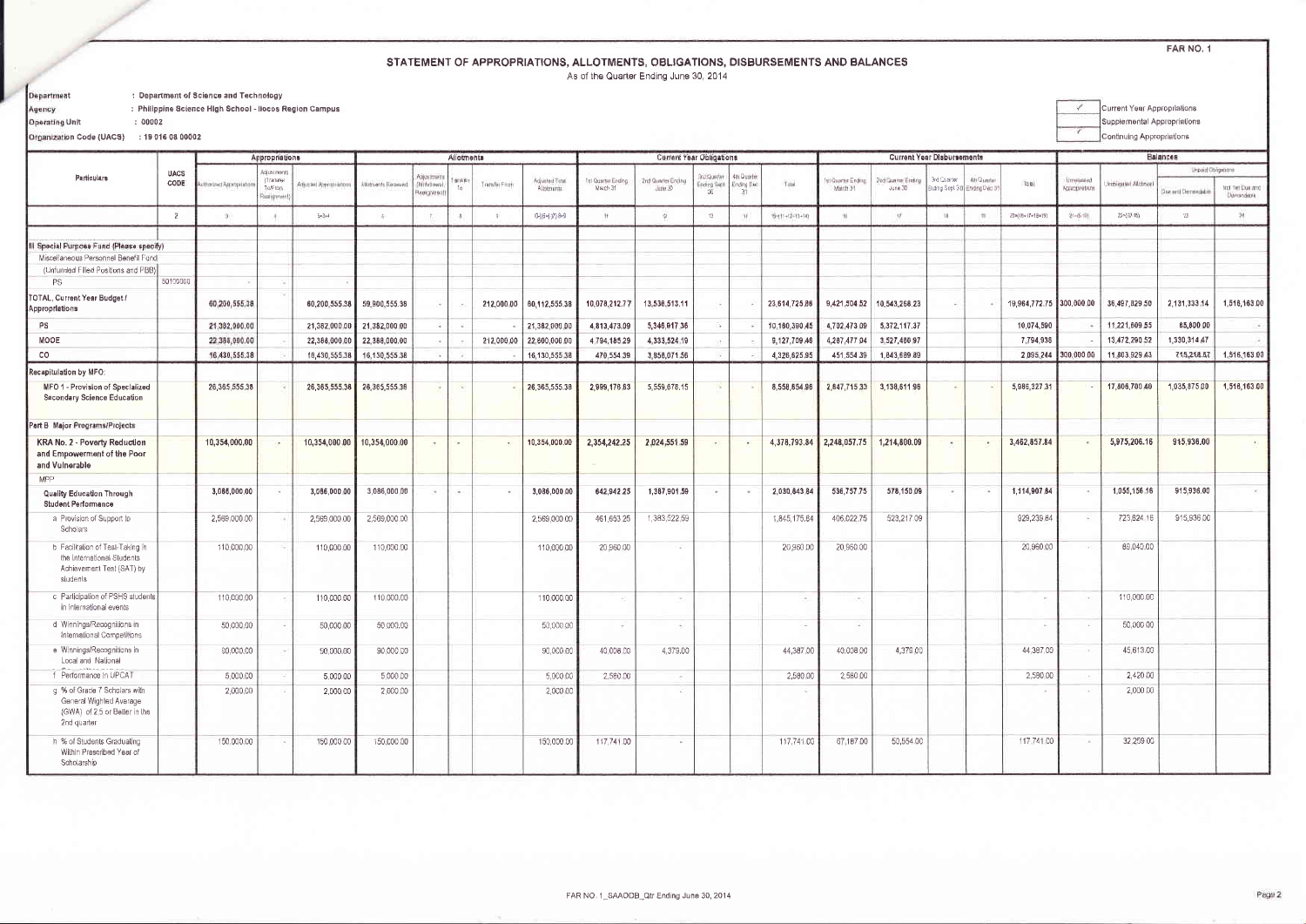## STATEMENT OF APPROPRIATIONS, ALLOTMENTS, OBLIGATIONS, DISBURSEMENTS AND BALANCES As of the Quarter Ending June 30, 2014

FAR NO. 1

Department Agency

: Department of Science and Technology : Philippine Science High School - Ilocos Region Campus

**Operating Unit** 

Current Year Appropriations  $\checkmark$ Supplemental Appropriations v Continuing Appropriations

Organization Code (UACS) : 19 016 08 00002

 $: 00002$ 

|                                                                                                         |                |                        | Appropriations                              |                        |                     | Allotments                                 |           |                 |                              | <b>Current Year Obligations</b> |                               | <b>Current Year Disbursements</b> |                                   |                |                              |                              |             | Balances                                   |                            |                                 |                    |                            |                                |
|---------------------------------------------------------------------------------------------------------|----------------|------------------------|---------------------------------------------|------------------------|---------------------|--------------------------------------------|-----------|-----------------|------------------------------|---------------------------------|-------------------------------|-----------------------------------|-----------------------------------|----------------|------------------------------|------------------------------|-------------|--------------------------------------------|----------------------------|---------------------------------|--------------------|----------------------------|--------------------------------|
| Particulars                                                                                             | <b>UACS</b>    |                        | Adjustments                                 |                        |                     |                                            |           |                 |                              |                                 |                               |                                   |                                   |                |                              |                              |             |                                            |                            |                                 |                    | <b>Linguid Obligations</b> |                                |
|                                                                                                         | CODE           | the lost Appropriation | [Transler<br>To/From<br><b>GLIN STOTAKE</b> | Adjusted Appropriation | Attornents Received | <b>Vojustmonts</b><br>Withdawa<br>colgymen | lansier   | Transfer Ficats | Accusted Total<br>Aliotments | ful Quertar Ending<br>March 31  | Ind Quarier Ending<br>June 30 | Indica arter<br>Ending Sign       | 4th Quartie<br><b>Ending Diet</b> | Tune           | ti Quarte Ending<br>March 31 | Ind Caamar Ending<br>June 30 | 3rd Quarter | 4th Quarter<br>Ending Sept 30 Ending Dec 3 | Tola                       | immented<br>Accecipinations     | Investor A Lateral | Jue and Demondable         | high Yet Dun and<br>Démondatre |
|                                                                                                         | $\overline{2}$ | $\mathcal{R}$          |                                             | $5 = 3 + 4$            |                     |                                            | $\Lambda$ |                 | (0-((6+(-)2) 8+9             | $++$                            | 12                            | $12 -$                            |                                   | 19411+13+13+14 | m                            | $\overline{u}$               |             |                                            | $20 = (16 - 17 + 18 + 19)$ | $21 - 6 - 10$                   | 22×(10.16)         | $23 -$                     | $24 -$                         |
|                                                                                                         |                |                        |                                             |                        |                     |                                            |           |                 |                              |                                 |                               |                                   |                                   |                |                              |                              |             |                                            |                            |                                 |                    |                            |                                |
| Special Purpose Fund (Please specify)                                                                   |                |                        |                                             |                        |                     |                                            |           |                 |                              |                                 |                               |                                   |                                   |                |                              |                              |             |                                            |                            |                                 |                    |                            |                                |
| Miscellaneous Personnel Benefil Fund                                                                    |                |                        |                                             |                        |                     |                                            |           |                 |                              |                                 |                               |                                   |                                   |                |                              |                              |             |                                            |                            |                                 |                    |                            |                                |
| (Unfunded Filled Positions and PBB)<br><b>PS</b>                                                        | 50100000       |                        |                                             |                        |                     |                                            |           |                 |                              |                                 |                               |                                   |                                   |                |                              |                              |             |                                            |                            |                                 |                    |                            |                                |
| OTAL, Current Year Budget /<br>Appropriations                                                           |                | 60,200,555.38          |                                             | 60,200,555.38          | 59,900,555.38       | ٠                                          |           | 212,000.00      | 60,112,555.38                | 10,078,212.77                   | 13,536,513.11                 |                                   |                                   | 23,614,725,86  | 9,421,504.52                 | 10,543,268.23                | ×,          |                                            | 19,964,772.75 300,000.00   |                                 | 36,497,829.50      | 2,131,333,14               | 1,516,163.0                    |
| PS                                                                                                      |                | 21,382,000.00          |                                             | 21,382,000.00          | 21,382,000.00       |                                            |           |                 | 21,382,000.00                | 4.813.473.09                    | 5,346,917.36                  |                                   |                                   | 10.180,390.45  | 4,702,473.09                 | 5,372,117.37                 |             |                                            | 10,074,590                 |                                 | 11,221,609.55      | 85,800.00                  | $\sim$                         |
| MOOE                                                                                                    |                | 22,388,000.00          |                                             | 22,388,000.00          | 22,388,000.00       |                                            |           | 212,000.00      | 22,600,000.00                | 4.794,185.29                    | 4,333,524.19                  |                                   |                                   | 9,127,709.46   | 4,267,477.04                 | 3,527,460.97                 |             |                                            | 7,794,938                  |                                 | 13,472,290.52      | 1,330,314.47               | <b>.</b>                       |
|                                                                                                         |                |                        |                                             |                        |                     |                                            |           |                 |                              |                                 |                               |                                   |                                   |                |                              |                              |             |                                            |                            | 2 095 244 300,000 00            | 11,803,929.43      | 715,218.67                 | 1,516,163.0                    |
| CO                                                                                                      |                | 16,430,555.38          |                                             | 16,430,555.38          | 16,130,555.38       |                                            |           |                 | 16,130,555.38                | 470,554.39                      | 3,856,071.56                  |                                   |                                   | 4,326,625.95   | 451,554.39                   | 1,643,689.89                 |             |                                            |                            |                                 |                    |                            |                                |
| Recapitulation by MFO:                                                                                  |                |                        |                                             |                        |                     |                                            |           |                 |                              |                                 |                               |                                   |                                   |                |                              |                              |             |                                            |                            |                                 |                    |                            |                                |
| MFO 1 - Provision of Specialized<br>Secondary Science Education                                         |                | 26, 365, 555, 38       |                                             | 26, 365, 555, 38       | 26,365,555.38       |                                            | $\sim$    |                 | 26,365,555,38                | 2.999,176.83                    | 5,559,678,15                  |                                   |                                   | 8,558,854.98   | 2,847,715,33                 | 3,138,611.98                 |             |                                            | 5,986,327.31               |                                 | 17,806,700.40      | 1,035,875.00               | 1,516,163.0                    |
| Part B Major Programs/Projects                                                                          |                |                        |                                             |                        |                     |                                            |           |                 |                              |                                 |                               |                                   |                                   |                |                              |                              |             |                                            |                            |                                 |                    |                            |                                |
| KRA No. 2 - Poverty Reduction<br>and Empowerment of the Poor<br>and Vulnerable                          |                | 10,354,000,00          |                                             | 10,354,000.00          | 10,354,000.00       | <b>Security</b>                            | ra.       |                 | 10,354,000.00                | 2,354,242.25                    | 2.024.551.59                  | $\cdot$                           |                                   | 4,378,793.84   | 2,248,057.75                 | 1,214,800.09                 | $\cdot$     | $\bullet$                                  | 3,462,857.84               | $\overline{a}$                  | 5,975,206.16       | 915.936.00                 |                                |
| MPP                                                                                                     |                |                        |                                             |                        |                     |                                            |           |                 |                              |                                 |                               |                                   |                                   |                |                              |                              |             |                                            |                            |                                 |                    |                            |                                |
| <b>Quality Education Through</b><br>Student Performance                                                 |                | 3,086,000.00           | $\sim$                                      | 3,086,000.00           | 3,086,000.00        | $\sim$                                     | $\sim$    |                 | 3,086,000.00                 | 642,942.25                      | 1,387,901.59                  | $\sim$                            |                                   | 2,030,843.84   | 536,757.75                   | 578,150.09                   | $\sim$      |                                            | 1,114,907.84               | $\sim$                          | 1,055,156.16       | 915,936.00                 |                                |
| a Provision of Support to<br>Scholars                                                                   |                | 2,569,000.00           |                                             | 2,569,000.00           | 2.569.000.00        |                                            |           |                 | 2.569.000.00                 | 461.653.25                      | 1,383,522,59                  |                                   |                                   | 1,845.175.84   | 406,022.75                   | 523,217 09                   |             |                                            | 929,239.84                 | n.                              | 723,824.16         | 915,936.00                 |                                |
| b Facilitation of Test-Taking in<br>the International Students<br>Achievement Test (SAT) by<br>siudenis |                | 110,000,00             |                                             | 110,000.00             | 110,000.00          |                                            |           |                 | 110,000.00                   | 20,960.00                       | - 20                          |                                   |                                   | 20,960.0       | 20,960.00                    |                              |             |                                            | 20,960.0                   | $\sim$                          | 69,040,00          |                            |                                |
| c Participation of PSHS students<br>in International events                                             |                | 110,000,00             |                                             | 110,000.00             | 110,000,00          |                                            |           |                 | 110,000,00                   | $\sim$                          | $\sim$                        |                                   |                                   |                | $\sim$                       |                              |             |                                            | - 1                        | <b>Sales</b>                    | 110.000.00         |                            |                                |
| d Winnings/Recognitions in<br>International Competitions                                                |                | 50,000.00              | ×,                                          | 50,000.00              | 50,000,00           |                                            |           |                 | 50,000.00                    | ×                               | $\sim$                        |                                   |                                   |                | ×                            |                              |             |                                            |                            | ia.                             | 50,000.00          |                            |                                |
| e Winnings/Recognitions in<br>Local and National                                                        |                | 90,000,00              | $\sim$                                      | 90,000,00              | 90,000.00           |                                            |           |                 | 90,000.00                    | 40,008.00                       | 4.379.00                      |                                   |                                   | 44,387.00      | 40.008.00                    | 4.379.00                     |             |                                            | 44.387.00                  | $\overline{a}$                  | 45,613.00          |                            |                                |
| f Performance In UPCAT                                                                                  |                | 5,000.00               |                                             | 5,000.00               | 5,000.00            |                                            |           |                 | 5,000.00                     | 2,580.00                        | - 10                          |                                   |                                   | 2,580.00       | 2,580.00                     |                              |             |                                            | 2,580.00                   | $\langle \cdot   \cdot \rangle$ | 2.420.00           |                            |                                |
| g % of Grade 7 Scholars with<br>General Wighted Avarage<br>(GWA) of 2.5 or Beller in the<br>2nd quarter |                | 2,000,00               |                                             | 2,000.00               | 2,000.00            |                                            |           |                 | 2,000.00                     |                                 | - 6                           |                                   |                                   |                |                              |                              |             |                                            |                            | ia.                             | 2,000.00           |                            |                                |
| h % of Students Gradualing<br>Within Prescribed Year of<br>Scholarship                                  |                | 150,000.00             |                                             | 150,000.00             | 150,000.00          |                                            |           |                 | 150,000.00                   | 117,741.00                      | $\sim$                        |                                   |                                   | 117.741.00     | 67.187.00                    | 50,554.00                    |             |                                            | 117,741.00                 | $\sim$                          | 32,259.00          |                            |                                |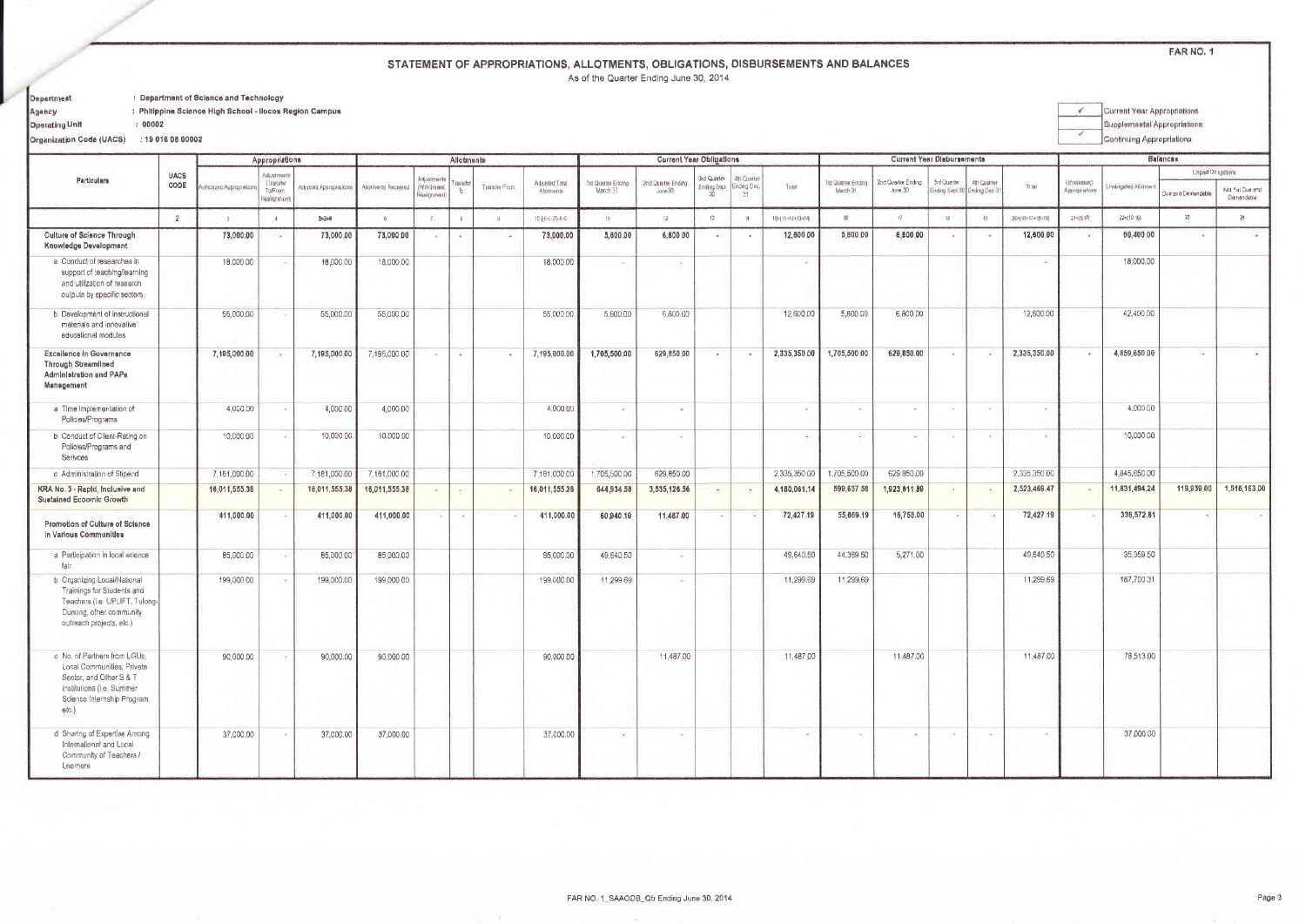## STATEMENT OF APPROPRIATIONS, ALLOTMENTS, OBLIGATIONS, DISBURSEMENTS AND BALANCES

As of the Quarter Ending June 30, 2014

| Department | : Department of Science and Technology |
|------------|----------------------------------------|

: Philippine Science High School - Ilocos Region Campus

Operating Unit

Agency

Current Year Appropriations  $\overline{\phantom{a}}$ Supplemental Appropriations Continuing Appropriations

Organization Code (UACS) : 19 016 08 00002

 $: 00002$ 

|                                                                                                                                                               |                |                        | Appropriations                    |                         |                     | Allotments                                |                          |             |                             |                                | <b>Current Year Obligations</b> |                   | <b>Current Year Disbursements</b> |                 |                               |                               |                          |                                            | <b>Balances</b> |                              |                     |                    |                               |
|---------------------------------------------------------------------------------------------------------------------------------------------------------------|----------------|------------------------|-----------------------------------|-------------------------|---------------------|-------------------------------------------|--------------------------|-------------|-----------------------------|--------------------------------|---------------------------------|-------------------|-----------------------------------|-----------------|-------------------------------|-------------------------------|--------------------------|--------------------------------------------|-----------------|------------------------------|---------------------|--------------------|-------------------------------|
| Particulars                                                                                                                                                   | <b>UACS</b>    |                        | Adjustment                        |                         |                     |                                           |                          |             |                             |                                |                                 | 3rd Quarter       | <b>Un Cuntin</b>                  |                 |                               |                               |                          |                                            |                 |                              |                     | Linguid Dolgsmans  |                               |
|                                                                                                                                                               | CODE           | Pronzed Appropriations | Transfer<br>To/From<br>Tealignmer | Adjusted Appropriations | Atiotments Received | Adjustments<br>(Withdrawa)<br>Acrigations | curate                   | TramAv Fram | Adjusted Total<br>Abstracts | fel Quarter Ending<br>March 31 | 2nd Quarter Ending<br>June 30   | Ending Sept<br>30 | Ending Dec<br>$-31$               | Total:          | st Quarter Ending<br>March 31 | 2nd Quarter Ending<br>June 30 | <b>Brd Quarter</b>       | Alt-Quarter<br>Inding Sept 30 Ending Dec 3 | Total           | Unreleased<br>Approprietions | Joobkgated Abstrave | Due and Demandable | Not Yel Due and<br>Damandable |
|                                                                                                                                                               | $\overline{2}$ |                        | $\mathbf{H}$                      | $5 - 3 + 4$             |                     | $\mathcal{N}$                             | W.                       |             | 10 ((6+(-)7) 8+9            | H.                             | $\overline{12}$                 | 13                | $\mathbf{u}$                      | 194114124134141 | IB.                           | $+7$                          | 196                      |                                            | Recited reads   | 21(5:10)                     | 22=[10-15]          | 23                 | 24                            |
| Culture of Science Through<br>Knowledge Development                                                                                                           |                | 73,000.00              | $\mathcal{C}(\mathbf{z})$         | 73,000.00               | 73,000.00           | $\sim$                                    | $\sim$                   | 140         | 73,000.00                   | 5,800.00                       | 6,800.00                        | $\rightarrow$     | <b>COL</b>                        | 12,600.00       | 5,800.00                      | 6,800.00                      | ×.                       | -                                          | 12,600.00       | $\mathcal{L}_{\mathcal{A}}$  | 60.400.00           | ×.                 |                               |
| a Conduct of researches in<br>support of teaching/learning<br>and utilization of research<br>oulpuls by specific sectors                                      |                | 18,000.00              | 19                                | 18,000.00               | 18,000.00           |                                           |                          |             | 18,000.00                   | $\overline{\phantom{a}}$       | $\sim$                          |                   |                                   | $\sim$          |                               |                               |                          |                                            | ×               |                              | 18,000.00           |                    |                               |
| b Development of instructional<br>materials and innovalive<br>educational modules                                                                             |                | 55,000.00              |                                   | 55,000.00               | 55,000.00           |                                           |                          |             | 55,000.00                   | 5,600.00                       | 6,800.00                        |                   |                                   | 12,600.00       | 5,800.00                      | 6,800.00                      |                          |                                            | 12,600.00       |                              | 42,400.00           |                    |                               |
| Excellence in Governance<br><b>Through Streamlined</b><br>Administration and PAPs<br>Management                                                               |                | 7,195,000.00           | ik.                               | 7,195,000.00            | 7,195,000 00        | 14                                        | $\overline{\phantom{a}}$ |             | 7,195,000.00                | 1,705,500.00                   | 629,850.00                      | $\rightarrow$     | $\mathcal{L}$                     | 2,335,350.00    | 1,705,500.00                  | 629.850,00                    | $\sim$                   | Call:                                      | 2,335,350.00    | $\overline{a}$               | 4,859,650.00        | $\rightarrow$      |                               |
| a Time Implementation of<br>Policies/Programs                                                                                                                 |                | 4,000.00               | $\overline{\phantom{a}}$          | 4,000.00                | 4,000.00            |                                           |                          |             | 4.000.00                    | ÷                              | S.                              |                   |                                   |                 | $\sim$                        | <b>Contract</b>               | $\overline{\phantom{a}}$ | $\sim$                                     | $\bar{\sigma}$  |                              | 4.000.00            |                    |                               |
| b Conduct of Client-Rating on<br>Policies/Programs and<br>Serivces                                                                                            |                | 10,000.00              |                                   | 10,000.00               | 10,000.00           |                                           |                          |             | 10,000,00                   | $\alpha$                       | $\rightarrow$                   |                   |                                   | $\sim$          | $\sim$                        | $\rightarrow$                 | $\sim$                   | $\sim$ 10 $^{\circ}$                       | $\sim$          |                              | 10,000.00           |                    |                               |
| c Administration of Stipend                                                                                                                                   |                | 7,181,000.00           |                                   | 7,181,000.00            | 7.181,000.00        |                                           |                          |             | 7,181,000.00                | 1,705,500.00                   | 629,650.00                      |                   |                                   | 2,335,350.00    | 1,705,500.00                  | 629.850.00                    |                          |                                            | 2.335.350.00    |                              | 4,845,650.00        |                    |                               |
| KRA No. 3 - Rapid, Inclusive and<br><b>Sustained Ecoomic Growth</b>                                                                                           |                | 16,011,555,38          | $\sim$                            | 16,011,555.38           | 16,011,555.38       | $\overline{\phantom{a}}$                  | $\sim$                   |             | 16,011,555.38               | 644,934.58                     | 3,535,126.56                    | $\overline{a}$    | $\sim$                            | 4,180,061,14    | 599,657.58                    | 1,923,811.89                  | $\overline{a}$           | $\sim$                                     | 2,523,469.47    | i w                          | 11,831,494,24       | 119,939.00         | 1,516,163.00                  |
| Promotion of Culture of Science<br>in Varlous Communities                                                                                                     |                | 411,000.00             | - 2                               | 411,000.00              | 411,000.00          |                                           | 78                       |             | 411,000.00                  | 60,940.19                      | 11,487.00                       |                   |                                   | 72,427.19       | 55,669.19                     | 16,758.00                     | $\overline{\phantom{a}}$ |                                            | 72,427.19       |                              | 338,572.81          |                    |                               |
| a Participation in local science<br>fair                                                                                                                      |                | 85,000.00              | $\sim$                            | 85,000.00               | 85,000.00           |                                           |                          |             | 85,000.00                   | 49.640.50                      | $\sim$                          |                   |                                   | 49,640,50       | 44,369.50                     | 5,271.00                      |                          |                                            | 49,640.50       |                              | 35,359.50           |                    |                               |
| b Organizing Local/National<br>Trainings for Students and<br>Teachers (i.e. UPLIFT, Tulong-<br>Dunong, other community<br>outreach projects, etc.)            |                | 199,000.00             | i.                                | 199,000,00              | 199,000.00          |                                           |                          |             | 199,000.00                  | 11,299.69                      | $\sim$                          |                   |                                   | 11,299.69       | 11,299.69                     |                               |                          |                                            | 11,299.69       |                              | 187,700.31          |                    |                               |
| c No, of Partners from LGUs,<br>Local Communities, Private<br>Sector, and Other S & T<br>Institutions (i.e. Summer<br>Science Internship Program,<br>$etc.$ ) |                | 90,000.00              | $\overline{\phantom{a}}$          | 90,000.00               | 90,000.00           |                                           |                          |             | 90,000.00                   |                                | 11,487.00                       |                   |                                   | 11,487.00       |                               | 11,487.00                     |                          |                                            | 11.487.00       |                              | 78,513.00           |                    |                               |
| d Sharing of Expertise Among<br>International and Local<br>Community of Teachers /<br>Learners                                                                |                | 37,000.00              | , c                               | 37,000.00               | 37,000.00           |                                           |                          |             | 37,000.00                   | $\sim$                         | $\sim$                          |                   |                                   |                 | $\sim$                        | $\cdot$                       | $\overline{\phantom{a}}$ | $\sim$                                     | $\sim$          |                              | 37,000.00           |                    |                               |

FAR NO. 1